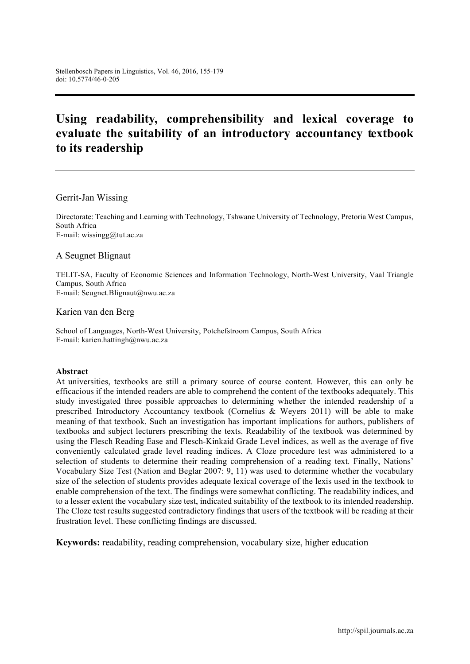# **Using readability, comprehensibility and lexical coverage to evaluate the suitability of an introductory accountancy textbook to its readership**

Gerrit-Jan Wissing

Directorate: Teaching and Learning with Technology, Tshwane University of Technology, Pretoria West Campus, South Africa E-mail: wissingg@tut.ac.za

A Seugnet Blignaut

TELIT-SA, Faculty of Economic Sciences and Information Technology, North-West University, Vaal Triangle Campus, South Africa E-mail: Seugnet.Blignaut@nwu.ac.za

Karien van den Berg

School of Languages, North-West University, Potchefstroom Campus, South Africa E-mail: karien.hattingh@nwu.ac.za

#### **Abstract**

At universities, textbooks are still a primary source of course content. However, this can only be efficacious if the intended readers are able to comprehend the content of the textbooks adequately. This study investigated three possible approaches to determining whether the intended readership of a prescribed Introductory Accountancy textbook (Cornelius & Weyers 2011) will be able to make meaning of that textbook. Such an investigation has important implications for authors, publishers of textbooks and subject lecturers prescribing the texts. Readability of the textbook was determined by using the Flesch Reading Ease and Flesch-Kinkaid Grade Level indices, as well as the average of five conveniently calculated grade level reading indices. A Cloze procedure test was administered to a selection of students to determine their reading comprehension of a reading text. Finally, Nations' Vocabulary Size Test (Nation and Beglar 2007: 9, 11) was used to determine whether the vocabulary size of the selection of students provides adequate lexical coverage of the lexis used in the textbook to enable comprehension of the text. The findings were somewhat conflicting. The readability indices, and to a lesser extent the vocabulary size test, indicated suitability of the textbook to its intended readership. The Cloze test results suggested contradictory findings that users of the textbook will be reading at their frustration level. These conflicting findings are discussed.

**Keywords:** readability, reading comprehension, vocabulary size, higher education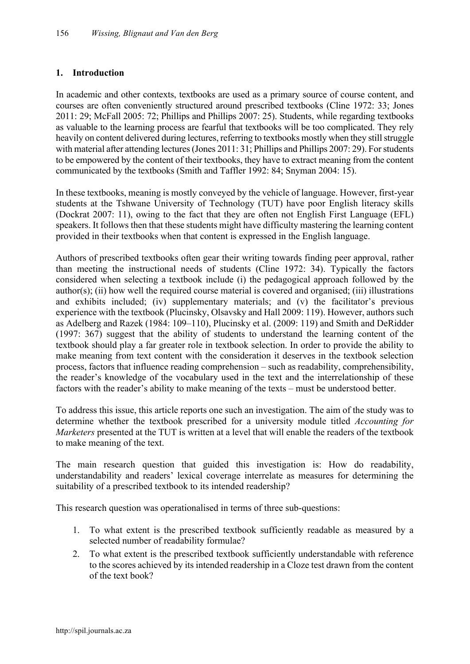#### **1. Introduction**

In academic and other contexts, textbooks are used as a primary source of course content, and courses are often conveniently structured around prescribed textbooks (Cline 1972: 33; Jones 2011: 29; McFall 2005: 72; Phillips and Phillips 2007: 25). Students, while regarding textbooks as valuable to the learning process are fearful that textbooks will be too complicated. They rely heavily on content delivered during lectures, referring to textbooks mostly when they still struggle with material after attending lectures (Jones 2011: 31; Phillips and Phillips 2007: 29). For students to be empowered by the content of their textbooks, they have to extract meaning from the content communicated by the textbooks (Smith and Taffler 1992: 84; Snyman 2004: 15).

In these textbooks, meaning is mostly conveyed by the vehicle of language. However, first-year students at the Tshwane University of Technology (TUT) have poor English literacy skills (Dockrat 2007: 11), owing to the fact that they are often not English First Language (EFL) speakers. It follows then that these students might have difficulty mastering the learning content provided in their textbooks when that content is expressed in the English language.

Authors of prescribed textbooks often gear their writing towards finding peer approval, rather than meeting the instructional needs of students (Cline 1972: 34). Typically the factors considered when selecting a textbook include (i) the pedagogical approach followed by the author(s); (ii) how well the required course material is covered and organised; (iii) illustrations and exhibits included; (iv) supplementary materials; and (v) the facilitator's previous experience with the textbook (Plucinsky, Olsavsky and Hall 2009: 119). However, authors such as Adelberg and Razek (1984: 109–110), Plucinsky et al. (2009: 119) and Smith and DeRidder (1997: 367) suggest that the ability of students to understand the learning content of the textbook should play a far greater role in textbook selection. In order to provide the ability to make meaning from text content with the consideration it deserves in the textbook selection process, factors that influence reading comprehension – such as readability, comprehensibility, the reader's knowledge of the vocabulary used in the text and the interrelationship of these factors with the reader's ability to make meaning of the texts – must be understood better.

To address this issue, this article reports one such an investigation. The aim of the study was to determine whether the textbook prescribed for a university module titled *Accounting for Marketers* presented at the TUT is written at a level that will enable the readers of the textbook to make meaning of the text.

The main research question that guided this investigation is: How do readability, understandability and readers' lexical coverage interrelate as measures for determining the suitability of a prescribed textbook to its intended readership?

This research question was operationalised in terms of three sub-questions:

- 1. To what extent is the prescribed textbook sufficiently readable as measured by a selected number of readability formulae?
- 2. To what extent is the prescribed textbook sufficiently understandable with reference to the scores achieved by its intended readership in a Cloze test drawn from the content of the text book?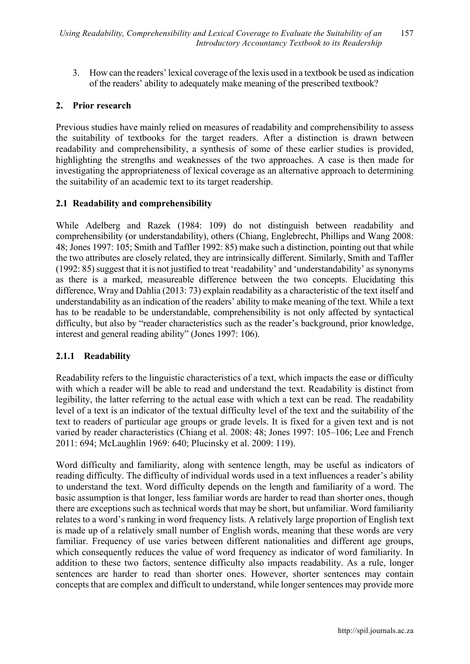3. How can the readers' lexical coverage of the lexis used in a textbook be used as indication of the readers' ability to adequately make meaning of the prescribed textbook?

#### **2. Prior research**

Previous studies have mainly relied on measures of readability and comprehensibility to assess the suitability of textbooks for the target readers. After a distinction is drawn between readability and comprehensibility, a synthesis of some of these earlier studies is provided, highlighting the strengths and weaknesses of the two approaches. A case is then made for investigating the appropriateness of lexical coverage as an alternative approach to determining the suitability of an academic text to its target readership.

## **2.1 Readability and comprehensibility**

While Adelberg and Razek (1984: 109) do not distinguish between readability and comprehensibility (or understandability), others (Chiang, Englebrecht, Phillips and Wang 2008: 48; Jones 1997: 105; Smith and Taffler 1992: 85) make such a distinction, pointing out that while the two attributes are closely related, they are intrinsically different. Similarly, Smith and Taffler (1992: 85) suggest that it is not justified to treat 'readability' and 'understandability' as synonyms as there is a marked, measureable difference between the two concepts. Elucidating this difference, Wray and Dahlia (2013: 73) explain readability as a characteristic of the text itself and understandability as an indication of the readers' ability to make meaning of the text. While a text has to be readable to be understandable, comprehensibility is not only affected by syntactical difficulty, but also by "reader characteristics such as the reader's background, prior knowledge, interest and general reading ability" (Jones 1997: 106).

## **2.1.1 Readability**

Readability refers to the linguistic characteristics of a text, which impacts the ease or difficulty with which a reader will be able to read and understand the text. Readability is distinct from legibility, the latter referring to the actual ease with which a text can be read. The readability level of a text is an indicator of the textual difficulty level of the text and the suitability of the text to readers of particular age groups or grade levels. It is fixed for a given text and is not varied by reader characteristics (Chiang et al. 2008: 48; Jones 1997: 105–106; Lee and French 2011: 694; McLaughlin 1969: 640; Plucinsky et al. 2009: 119).

Word difficulty and familiarity, along with sentence length, may be useful as indicators of reading difficulty. The difficulty of individual words used in a text influences a reader's ability to understand the text. Word difficulty depends on the length and familiarity of a word. The basic assumption is that longer, less familiar words are harder to read than shorter ones, though there are exceptions such as technical words that may be short, but unfamiliar. Word familiarity relates to a word's ranking in word frequency lists. A relatively large proportion of English text is made up of a relatively small number of English words, meaning that these words are very familiar. Frequency of use varies between different nationalities and different age groups, which consequently reduces the value of word frequency as indicator of word familiarity. In addition to these two factors, sentence difficulty also impacts readability. As a rule, longer sentences are harder to read than shorter ones. However, shorter sentences may contain concepts that are complex and difficult to understand, while longer sentences may provide more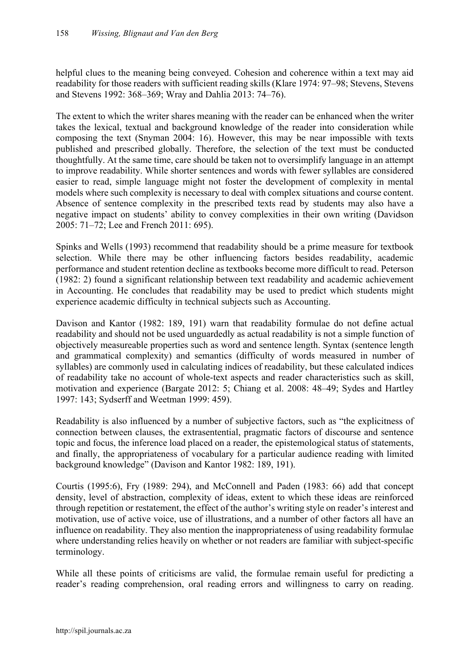helpful clues to the meaning being conveyed. Cohesion and coherence within a text may aid readability for those readers with sufficient reading skills (Klare 1974: 97–98; Stevens, Stevens and Stevens 1992: 368–369; Wray and Dahlia 2013: 74–76).

The extent to which the writer shares meaning with the reader can be enhanced when the writer takes the lexical, textual and background knowledge of the reader into consideration while composing the text (Snyman 2004: 16). However, this may be near impossible with texts published and prescribed globally. Therefore, the selection of the text must be conducted thoughtfully. At the same time, care should be taken not to oversimplify language in an attempt to improve readability. While shorter sentences and words with fewer syllables are considered easier to read, simple language might not foster the development of complexity in mental models where such complexity is necessary to deal with complex situations and course content. Absence of sentence complexity in the prescribed texts read by students may also have a negative impact on students' ability to convey complexities in their own writing (Davidson 2005: 71–72; Lee and French 2011: 695).

Spinks and Wells (1993) recommend that readability should be a prime measure for textbook selection. While there may be other influencing factors besides readability, academic performance and student retention decline as textbooks become more difficult to read. Peterson (1982: 2) found a significant relationship between text readability and academic achievement in Accounting. He concludes that readability may be used to predict which students might experience academic difficulty in technical subjects such as Accounting.

Davison and Kantor (1982: 189, 191) warn that readability formulae do not define actual readability and should not be used unguardedly as actual readability is not a simple function of objectively measureable properties such as word and sentence length. Syntax (sentence length and grammatical complexity) and semantics (difficulty of words measured in number of syllables) are commonly used in calculating indices of readability, but these calculated indices of readability take no account of whole-text aspects and reader characteristics such as skill, motivation and experience (Bargate 2012: 5; Chiang et al. 2008: 48–49; Sydes and Hartley 1997: 143; Sydserff and Weetman 1999: 459).

Readability is also influenced by a number of subjective factors, such as "the explicitness of connection between clauses, the extrasentential, pragmatic factors of discourse and sentence topic and focus, the inference load placed on a reader, the epistemological status of statements, and finally, the appropriateness of vocabulary for a particular audience reading with limited background knowledge" (Davison and Kantor 1982: 189, 191).

Courtis (1995:6), Fry (1989: 294), and McConnell and Paden (1983: 66) add that concept density, level of abstraction, complexity of ideas, extent to which these ideas are reinforced through repetition or restatement, the effect of the author's writing style on reader's interest and motivation, use of active voice, use of illustrations, and a number of other factors all have an influence on readability. They also mention the inappropriateness of using readability formulae where understanding relies heavily on whether or not readers are familiar with subject-specific terminology.

While all these points of criticisms are valid, the formulae remain useful for predicting a reader's reading comprehension, oral reading errors and willingness to carry on reading.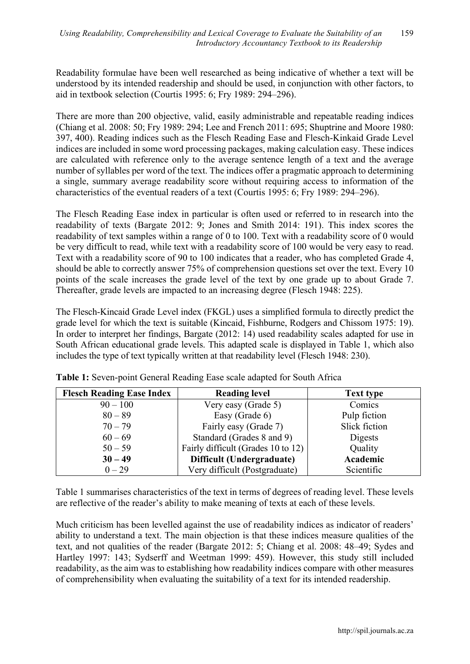Readability formulae have been well researched as being indicative of whether a text will be understood by its intended readership and should be used, in conjunction with other factors, to aid in textbook selection (Courtis 1995: 6; Fry 1989: 294–296).

There are more than 200 objective, valid, easily administrable and repeatable reading indices (Chiang et al. 2008: 50; Fry 1989: 294; Lee and French 2011: 695; Shuptrine and Moore 1980: 397, 400). Reading indices such as the Flesch Reading Ease and Flesch-Kinkaid Grade Level indices are included in some word processing packages, making calculation easy. These indices are calculated with reference only to the average sentence length of a text and the average number of syllables per word of the text. The indices offer a pragmatic approach to determining a single, summary average readability score without requiring access to information of the characteristics of the eventual readers of a text (Courtis 1995: 6; Fry 1989: 294–296).

The Flesch Reading Ease index in particular is often used or referred to in research into the readability of texts (Bargate 2012: 9; Jones and Smith 2014: 191). This index scores the readability of text samples within a range of 0 to 100. Text with a readability score of 0 would be very difficult to read, while text with a readability score of 100 would be very easy to read. Text with a readability score of 90 to 100 indicates that a reader, who has completed Grade 4, should be able to correctly answer 75% of comprehension questions set over the text. Every 10 points of the scale increases the grade level of the text by one grade up to about Grade 7. Thereafter, grade levels are impacted to an increasing degree (Flesch 1948: 225).

The Flesch-Kincaid Grade Level index (FKGL) uses a simplified formula to directly predict the grade level for which the text is suitable (Kincaid, Fishburne, Rodgers and Chissom 1975: 19). In order to interpret her findings, Bargate (2012: 14) used readability scales adapted for use in South African educational grade levels. This adapted scale is displayed in Table 1, which also includes the type of text typically written at that readability level (Flesch 1948: 230).

| <b>Flesch Reading Ease Index</b> | <b>Reading level</b>               | <b>Text type</b> |  |  |  |
|----------------------------------|------------------------------------|------------------|--|--|--|
| $90 - 100$                       | Very easy (Grade 5)                | Comics           |  |  |  |
| $80 - 89$                        | Easy (Grade 6)                     | Pulp fiction     |  |  |  |
| $70 - 79$                        | Fairly easy (Grade 7)              | Slick fiction    |  |  |  |
| $60 - 69$                        | Standard (Grades 8 and 9)          | Digests          |  |  |  |
| $50 - 59$                        | Fairly difficult (Grades 10 to 12) | Quality          |  |  |  |
| $30 - 49$                        | Difficult (Undergraduate)          | Academic         |  |  |  |
| $0 - 29$                         | Very difficult (Postgraduate)      | Scientific       |  |  |  |

**Table 1:** Seven-point General Reading Ease scale adapted for South Africa

Table 1 summarises characteristics of the text in terms of degrees of reading level. These levels are reflective of the reader's ability to make meaning of texts at each of these levels.

Much criticism has been levelled against the use of readability indices as indicator of readers' ability to understand a text. The main objection is that these indices measure qualities of the text, and not qualities of the reader (Bargate 2012: 5; Chiang et al. 2008: 48–49; Sydes and Hartley 1997: 143; Sydserff and Weetman 1999: 459). However, this study still included readability, as the aim was to establishing how readability indices compare with other measures of comprehensibility when evaluating the suitability of a text for its intended readership.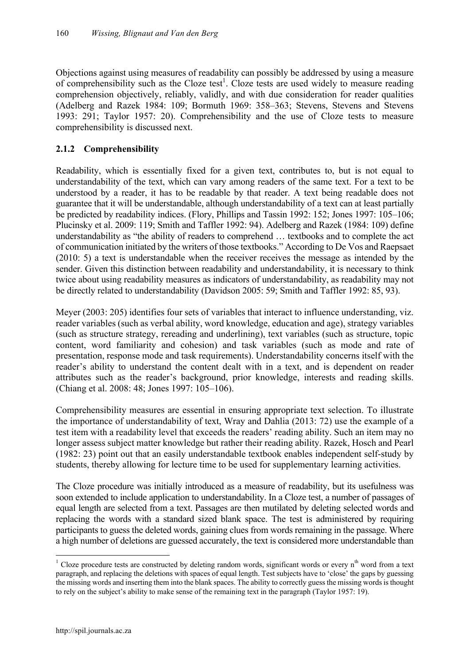Objections against using measures of readability can possibly be addressed by using a measure of comprehensibility such as the Cloze test<sup>1</sup>. Cloze tests are used widely to measure reading comprehension objectively, reliably, validly, and with due consideration for reader qualities (Adelberg and Razek 1984: 109; Bormuth 1969: 358–363; Stevens, Stevens and Stevens 1993: 291; Taylor 1957: 20). Comprehensibility and the use of Cloze tests to measure comprehensibility is discussed next.

# **2.1.2 Comprehensibility**

Readability, which is essentially fixed for a given text, contributes to, but is not equal to understandability of the text, which can vary among readers of the same text. For a text to be understood by a reader, it has to be readable by that reader. A text being readable does not guarantee that it will be understandable, although understandability of a text can at least partially be predicted by readability indices. (Flory, Phillips and Tassin 1992: 152; Jones 1997: 105–106; Plucinsky et al. 2009: 119; Smith and Taffler 1992: 94). Adelberg and Razek (1984: 109) define understandability as "the ability of readers to comprehend … textbooks and to complete the act of communication initiated by the writers of those textbooks." According to De Vos and Raepsaet (2010: 5) a text is understandable when the receiver receives the message as intended by the sender. Given this distinction between readability and understandability, it is necessary to think twice about using readability measures as indicators of understandability, as readability may not be directly related to understandability (Davidson 2005: 59; Smith and Taffler 1992: 85, 93).

Meyer (2003: 205) identifies four sets of variables that interact to influence understanding, viz. reader variables (such as verbal ability, word knowledge, education and age), strategy variables (such as structure strategy, rereading and underlining), text variables (such as structure, topic content, word familiarity and cohesion) and task variables (such as mode and rate of presentation, response mode and task requirements). Understandability concerns itself with the reader's ability to understand the content dealt with in a text, and is dependent on reader attributes such as the reader's background, prior knowledge, interests and reading skills. (Chiang et al. 2008: 48; Jones 1997: 105–106).

Comprehensibility measures are essential in ensuring appropriate text selection. To illustrate the importance of understandability of text, Wray and Dahlia (2013: 72) use the example of a test item with a readability level that exceeds the readers' reading ability. Such an item may no longer assess subject matter knowledge but rather their reading ability. Razek, Hosch and Pearl (1982: 23) point out that an easily understandable textbook enables independent self-study by students, thereby allowing for lecture time to be used for supplementary learning activities.

The Cloze procedure was initially introduced as a measure of readability, but its usefulness was soon extended to include application to understandability. In a Cloze test, a number of passages of equal length are selected from a text. Passages are then mutilated by deleting selected words and replacing the words with a standard sized blank space. The test is administered by requiring participants to guess the deleted words, gaining clues from words remaining in the passage. Where a high number of deletions are guessed accurately, the text is considered more understandable than

<sup>&</sup>lt;sup>1</sup> Cloze procedure tests are constructed by deleting random words, significant words or every  $n^{th}$  word from a text paragraph, and replacing the deletions with spaces of equal length. Test subjects have to 'close' the gaps by guessing the missing words and inserting them into the blank spaces. The ability to correctly guess the missing words is thought to rely on the subject's ability to make sense of the remaining text in the paragraph (Taylor 1957: 19).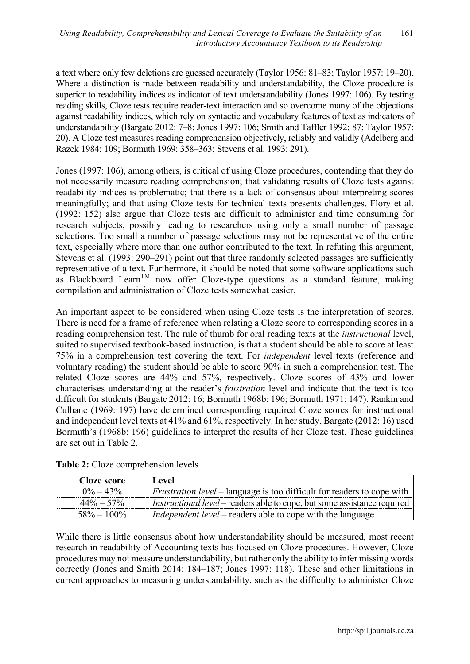a text where only few deletions are guessed accurately (Taylor 1956: 81–83; Taylor 1957: 19–20). Where a distinction is made between readability and understandability, the Cloze procedure is superior to readability indices as indicator of text understandability (Jones 1997: 106). By testing reading skills, Cloze tests require reader-text interaction and so overcome many of the objections against readability indices, which rely on syntactic and vocabulary features of text as indicators of understandability (Bargate 2012: 7–8; Jones 1997: 106; Smith and Taffler 1992: 87; Taylor 1957: 20). A Cloze test measures reading comprehension objectively, reliably and validly (Adelberg and Razek 1984: 109; Bormuth 1969: 358–363; Stevens et al. 1993: 291).

Jones (1997: 106), among others, is critical of using Cloze procedures, contending that they do not necessarily measure reading comprehension; that validating results of Cloze tests against readability indices is problematic; that there is a lack of consensus about interpreting scores meaningfully; and that using Cloze tests for technical texts presents challenges. Flory et al. (1992: 152) also argue that Cloze tests are difficult to administer and time consuming for research subjects, possibly leading to researchers using only a small number of passage selections. Too small a number of passage selections may not be representative of the entire text, especially where more than one author contributed to the text. In refuting this argument, Stevens et al. (1993: 290–291) point out that three randomly selected passages are sufficiently representative of a text. Furthermore, it should be noted that some software applications such as Blackboard Learn<sup>TM</sup> now offer Cloze-type questions as a standard feature, making compilation and administration of Cloze tests somewhat easier.

An important aspect to be considered when using Cloze tests is the interpretation of scores. There is need for a frame of reference when relating a Cloze score to corresponding scores in a reading comprehension test. The rule of thumb for oral reading texts at the *instructional* level, suited to supervised textbook-based instruction, is that a student should be able to score at least 75% in a comprehension test covering the text. For *independent* level texts (reference and voluntary reading) the student should be able to score 90% in such a comprehension test. The related Cloze scores are 44% and 57%, respectively. Cloze scores of 43% and lower characterises understanding at the reader's *frustration* level and indicate that the text is too difficult for students (Bargate 2012: 16; Bormuth 1968b: 196; Bormuth 1971: 147). Rankin and Culhane (1969: 197) have determined corresponding required Cloze scores for instructional and independent level texts at 41% and 61%, respectively. In her study, Bargate (2012: 16) used Bormuth's (1968b: 196) guidelines to interpret the results of her Cloze test. These guidelines are set out in Table 2.

**Table 2:** Cloze comprehension levels

| Cloze score    | Level                                                                           |
|----------------|---------------------------------------------------------------------------------|
| $0\% - 43\%$   | <i>Frustration level</i> – language is too difficult for readers to cope with   |
| $44\% - 57\%$  | <i>Instructional level</i> – readers able to cope, but some assistance required |
| $58\% - 100\%$ | <i>Independent level</i> – readers able to cope with the language               |

While there is little consensus about how understandability should be measured, most recent research in readability of Accounting texts has focused on Cloze procedures. However, Cloze procedures may not measure understandability, but rather only the ability to infer missing words correctly (Jones and Smith 2014: 184–187; Jones 1997: 118). These and other limitations in current approaches to measuring understandability, such as the difficulty to administer Cloze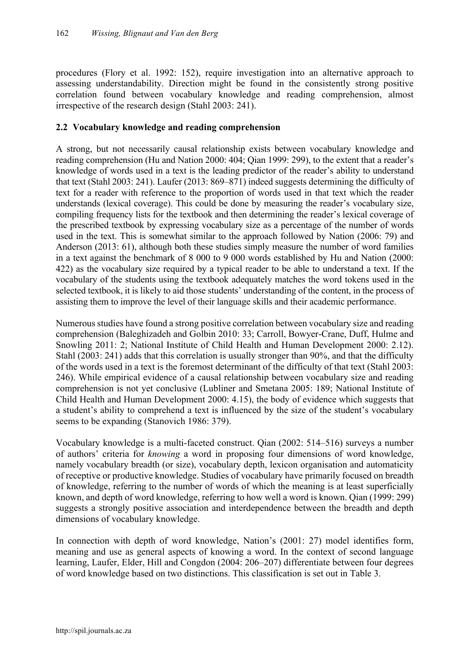procedures (Flory et al. 1992: 152), require investigation into an alternative approach to assessing understandability. Direction might be found in the consistently strong positive correlation found between vocabulary knowledge and reading comprehension, almost irrespective of the research design (Stahl 2003: 241).

#### **2.2 Vocabulary knowledge and reading comprehension**

A strong, but not necessarily causal relationship exists between vocabulary knowledge and reading comprehension (Hu and Nation 2000: 404; Qian 1999: 299), to the extent that a reader's knowledge of words used in a text is the leading predictor of the reader's ability to understand that text (Stahl 2003: 241). Laufer (2013: 869–871) indeed suggests determining the difficulty of text for a reader with reference to the proportion of words used in that text which the reader understands (lexical coverage). This could be done by measuring the reader's vocabulary size, compiling frequency lists for the textbook and then determining the reader's lexical coverage of the prescribed textbook by expressing vocabulary size as a percentage of the number of words used in the text. This is somewhat similar to the approach followed by Nation (2006: 79) and Anderson (2013: 61), although both these studies simply measure the number of word families in a text against the benchmark of 8 000 to 9 000 words established by Hu and Nation (2000: 422) as the vocabulary size required by a typical reader to be able to understand a text. If the vocabulary of the students using the textbook adequately matches the word tokens used in the selected textbook, it is likely to aid those students' understanding of the content, in the process of assisting them to improve the level of their language skills and their academic performance.

Numerous studies have found a strong positive correlation between vocabulary size and reading comprehension (Baleghizadeh and Golbin 2010: 33; Carroll, Bowyer-Crane, Duff, Hulme and Snowling 2011: 2; National Institute of Child Health and Human Development 2000: 2.12). Stahl (2003: 241) adds that this correlation is usually stronger than 90%, and that the difficulty of the words used in a text is the foremost determinant of the difficulty of that text (Stahl 2003: 246). While empirical evidence of a causal relationship between vocabulary size and reading comprehension is not yet conclusive (Lubliner and Smetana 2005: 189; National Institute of Child Health and Human Development 2000: 4.15), the body of evidence which suggests that a student's ability to comprehend a text is influenced by the size of the student's vocabulary seems to be expanding (Stanovich 1986: 379).

Vocabulary knowledge is a multi-faceted construct. Qian (2002: 514–516) surveys a number of authors' criteria for *knowing* a word in proposing four dimensions of word knowledge, namely vocabulary breadth (or size), vocabulary depth, lexicon organisation and automaticity of receptive or productive knowledge. Studies of vocabulary have primarily focused on breadth of knowledge, referring to the number of words of which the meaning is at least superficially known, and depth of word knowledge, referring to how well a word is known. Qian (1999: 299) suggests a strongly positive association and interdependence between the breadth and depth dimensions of vocabulary knowledge.

In connection with depth of word knowledge, Nation's (2001: 27) model identifies form, meaning and use as general aspects of knowing a word. In the context of second language learning, Laufer, Elder, Hill and Congdon (2004: 206–207) differentiate between four degrees of word knowledge based on two distinctions. This classification is set out in Table 3.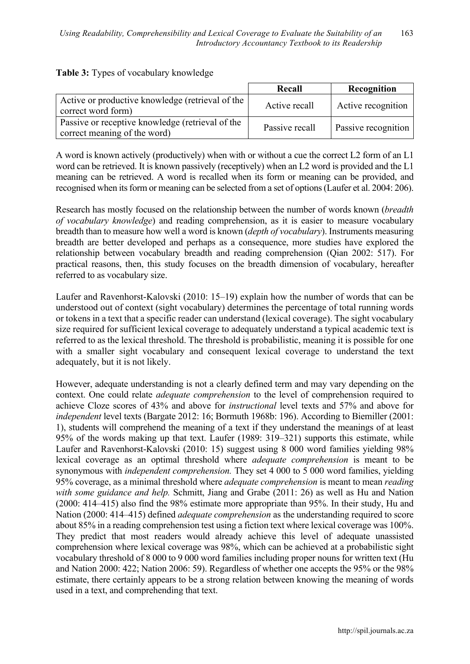|                                                                                  | Recall         | Recognition                |
|----------------------------------------------------------------------------------|----------------|----------------------------|
| Active or productive knowledge (retrieval of the<br>correct word form)           | Active recall  | Active recognition         |
| Passive or receptive knowledge (retrieval of the<br>correct meaning of the word) | Passive recall | <b>Passive recognition</b> |

|  |  | Table 3: Types of vocabulary knowledge |  |
|--|--|----------------------------------------|--|
|--|--|----------------------------------------|--|

A word is known actively (productively) when with or without a cue the correct L2 form of an L1 word can be retrieved. It is known passively (receptively) when an L2 word is provided and the L1 meaning can be retrieved. A word is recalled when its form or meaning can be provided, and recognised when its form or meaning can be selected from a set of options (Laufer et al. 2004: 206).

Research has mostly focused on the relationship between the number of words known (*breadth of vocabulary knowledge*) and reading comprehension, as it is easier to measure vocabulary breadth than to measure how well a word is known (*depth of vocabulary*). Instruments measuring breadth are better developed and perhaps as a consequence, more studies have explored the relationship between vocabulary breadth and reading comprehension (Qian 2002: 517). For practical reasons, then, this study focuses on the breadth dimension of vocabulary, hereafter referred to as vocabulary size.

Laufer and Ravenhorst-Kalovski (2010: 15–19) explain how the number of words that can be understood out of context (sight vocabulary) determines the percentage of total running words or tokens in a text that a specific reader can understand (lexical coverage). The sight vocabulary size required for sufficient lexical coverage to adequately understand a typical academic text is referred to as the lexical threshold. The threshold is probabilistic, meaning it is possible for one with a smaller sight vocabulary and consequent lexical coverage to understand the text adequately, but it is not likely.

However, adequate understanding is not a clearly defined term and may vary depending on the context. One could relate *adequate comprehension* to the level of comprehension required to achieve Cloze scores of 43% and above for *instructional* level texts and 57% and above for *independent* level texts (Bargate 2012: 16; Bormuth 1968b: 196). According to Biemiller (2001: 1), students will comprehend the meaning of a text if they understand the meanings of at least 95% of the words making up that text. Laufer (1989: 319–321) supports this estimate, while Laufer and Ravenhorst-Kalovski (2010: 15) suggest using 8 000 word families yielding 98% lexical coverage as an optimal threshold where *adequate comprehension* is meant to be synonymous with *independent comprehension.* They set 4 000 to 5 000 word families, yielding 95% coverage, as a minimal threshold where *adequate comprehension* is meant to mean *reading with some guidance and help.* Schmitt, Jiang and Grabe (2011: 26) as well as Hu and Nation (2000: 414–415) also find the 98% estimate more appropriate than 95%. In their study, Hu and Nation (2000: 414–415) defined *adequate comprehension* as the understanding required to score about 85% in a reading comprehension test using a fiction text where lexical coverage was 100%. They predict that most readers would already achieve this level of adequate unassisted comprehension where lexical coverage was 98%, which can be achieved at a probabilistic sight vocabulary threshold of 8 000 to 9 000 word families including proper nouns for written text (Hu and Nation 2000: 422; Nation 2006: 59). Regardless of whether one accepts the 95% or the 98% estimate, there certainly appears to be a strong relation between knowing the meaning of words used in a text, and comprehending that text.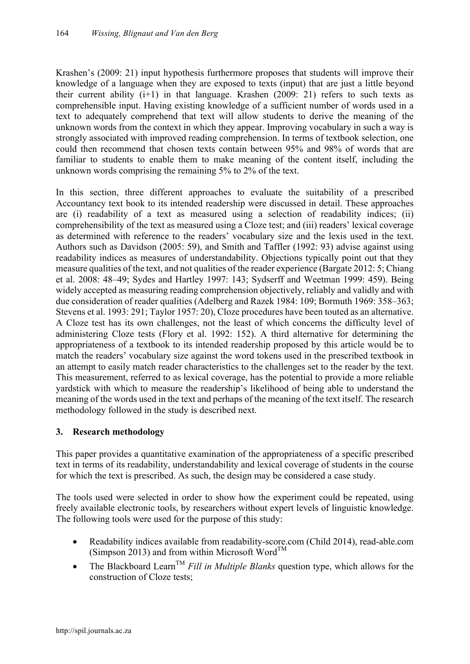Krashen's (2009: 21) input hypothesis furthermore proposes that students will improve their knowledge of a language when they are exposed to texts (input) that are just a little beyond their current ability  $(i+1)$  in that language. Krashen  $(2009: 21)$  refers to such texts as comprehensible input. Having existing knowledge of a sufficient number of words used in a text to adequately comprehend that text will allow students to derive the meaning of the unknown words from the context in which they appear. Improving vocabulary in such a way is strongly associated with improved reading comprehension. In terms of textbook selection, one could then recommend that chosen texts contain between 95% and 98% of words that are familiar to students to enable them to make meaning of the content itself, including the unknown words comprising the remaining 5% to 2% of the text.

In this section, three different approaches to evaluate the suitability of a prescribed Accountancy text book to its intended readership were discussed in detail. These approaches are (i) readability of a text as measured using a selection of readability indices; (ii) comprehensibility of the text as measured using a Cloze test; and (iii) readers' lexical coverage as determined with reference to the readers' vocabulary size and the lexis used in the text. Authors such as Davidson (2005: 59), and Smith and Taffler (1992: 93) advise against using readability indices as measures of understandability. Objections typically point out that they measure qualities of the text, and not qualities of the reader experience (Bargate 2012: 5; Chiang et al. 2008: 48–49; Sydes and Hartley 1997: 143; Sydserff and Weetman 1999: 459). Being widely accepted as measuring reading comprehension objectively, reliably and validly and with due consideration of reader qualities (Adelberg and Razek 1984: 109; Bormuth 1969: 358–363; Stevens et al. 1993: 291; Taylor 1957: 20), Cloze procedures have been touted as an alternative. A Cloze test has its own challenges, not the least of which concerns the difficulty level of administering Cloze tests (Flory et al. 1992: 152). A third alternative for determining the appropriateness of a textbook to its intended readership proposed by this article would be to match the readers' vocabulary size against the word tokens used in the prescribed textbook in an attempt to easily match reader characteristics to the challenges set to the reader by the text. This measurement, referred to as lexical coverage, has the potential to provide a more reliable yardstick with which to measure the readership's likelihood of being able to understand the meaning of the words used in the text and perhaps of the meaning of the text itself. The research methodology followed in the study is described next.

## **3. Research methodology**

This paper provides a quantitative examination of the appropriateness of a specific prescribed text in terms of its readability, understandability and lexical coverage of students in the course for which the text is prescribed. As such, the design may be considered a case study.

The tools used were selected in order to show how the experiment could be repeated, using freely available electronic tools, by researchers without expert levels of linguistic knowledge. The following tools were used for the purpose of this study:

- Readability indices available from readability-score.com (Child 2014), read-able.com (Simpson 2013) and from within Microsoft Word<sup>TM</sup>
- The Blackboard Learn<sup>TM</sup> *Fill in Multiple Blanks* question type, which allows for the construction of Cloze tests;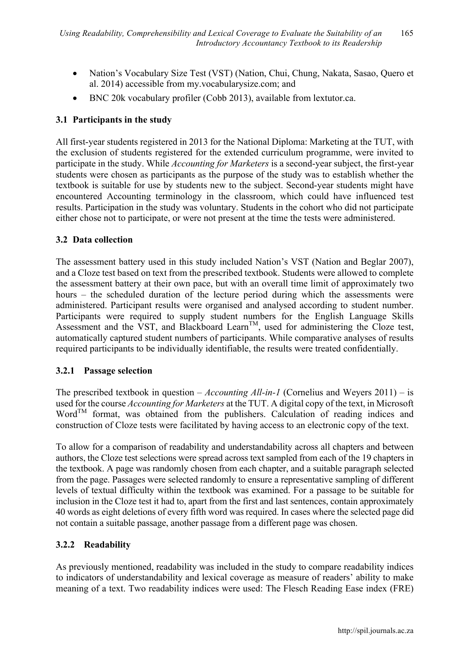- Nation's Vocabulary Size Test (VST) (Nation, Chui, Chung, Nakata, Sasao, Quero et al. 2014) accessible from my.vocabularysize.com; and
- BNC 20k vocabulary profiler (Cobb 2013), available from lextutor.ca.

# **3.1 Participants in the study**

All first-year students registered in 2013 for the National Diploma: Marketing at the TUT, with the exclusion of students registered for the extended curriculum programme, were invited to participate in the study. While *Accounting for Marketers* is a second-year subject, the first-year students were chosen as participants as the purpose of the study was to establish whether the textbook is suitable for use by students new to the subject. Second-year students might have encountered Accounting terminology in the classroom, which could have influenced test results. Participation in the study was voluntary. Students in the cohort who did not participate either chose not to participate, or were not present at the time the tests were administered.

#### **3.2 Data collection**

The assessment battery used in this study included Nation's VST (Nation and Beglar 2007), and a Cloze test based on text from the prescribed textbook. Students were allowed to complete the assessment battery at their own pace, but with an overall time limit of approximately two hours – the scheduled duration of the lecture period during which the assessments were administered. Participant results were organised and analysed according to student number. Participants were required to supply student numbers for the English Language Skills Assessment and the VST, and Blackboard Learn<sup>TM</sup>, used for administering the Cloze test, automatically captured student numbers of participants. While comparative analyses of results required participants to be individually identifiable, the results were treated confidentially.

#### **3.2.1 Passage selection**

The prescribed textbook in question – *Accounting All-in-1* (Cornelius and Weyers 2011) – is used for the course *Accounting for Marketers* at the TUT. A digital copy of the text, in Microsoft  $Word<sup>TM</sup>$  format, was obtained from the publishers. Calculation of reading indices and construction of Cloze tests were facilitated by having access to an electronic copy of the text.

To allow for a comparison of readability and understandability across all chapters and between authors, the Cloze test selections were spread across text sampled from each of the 19 chapters in the textbook. A page was randomly chosen from each chapter, and a suitable paragraph selected from the page. Passages were selected randomly to ensure a representative sampling of different levels of textual difficulty within the textbook was examined. For a passage to be suitable for inclusion in the Cloze test it had to, apart from the first and last sentences, contain approximately 40 words as eight deletions of every fifth word was required. In cases where the selected page did not contain a suitable passage, another passage from a different page was chosen.

## **3.2.2 Readability**

As previously mentioned, readability was included in the study to compare readability indices to indicators of understandability and lexical coverage as measure of readers' ability to make meaning of a text. Two readability indices were used: The Flesch Reading Ease index (FRE)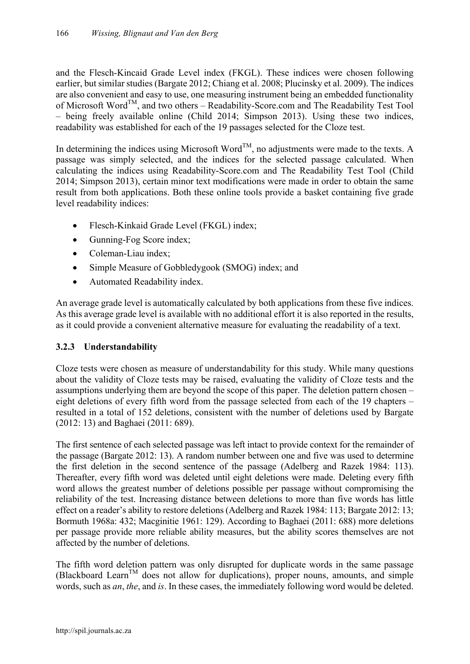and the Flesch-Kincaid Grade Level index (FKGL). These indices were chosen following earlier, but similar studies (Bargate 2012; Chiang et al. 2008; Plucinsky et al. 2009). The indices are also convenient and easy to use, one measuring instrument being an embedded functionality of Microsoft Word<sup>TM</sup>, and two others – Readability-Score.com and The Readability Test Tool – being freely available online (Child 2014; Simpson 2013). Using these two indices, readability was established for each of the 19 passages selected for the Cloze test.

In determining the indices using Microsoft Word<sup>TM</sup>, no adjustments were made to the texts. A passage was simply selected, and the indices for the selected passage calculated. When calculating the indices using Readability-Score.com and The Readability Test Tool (Child 2014; Simpson 2013), certain minor text modifications were made in order to obtain the same result from both applications. Both these online tools provide a basket containing five grade level readability indices:

- Flesch-Kinkaid Grade Level (FKGL) index;
- Gunning-Fog Score index;
- Coleman-Liau index;
- Simple Measure of Gobbledygook (SMOG) index; and
- Automated Readability index.

An average grade level is automatically calculated by both applications from these five indices. As this average grade level is available with no additional effort it is also reported in the results, as it could provide a convenient alternative measure for evaluating the readability of a text.

## **3.2.3 Understandability**

Cloze tests were chosen as measure of understandability for this study. While many questions about the validity of Cloze tests may be raised, evaluating the validity of Cloze tests and the assumptions underlying them are beyond the scope of this paper. The deletion pattern chosen – eight deletions of every fifth word from the passage selected from each of the 19 chapters – resulted in a total of 152 deletions, consistent with the number of deletions used by Bargate (2012: 13) and Baghaei (2011: 689).

The first sentence of each selected passage was left intact to provide context for the remainder of the passage (Bargate 2012: 13). A random number between one and five was used to determine the first deletion in the second sentence of the passage (Adelberg and Razek 1984: 113). Thereafter, every fifth word was deleted until eight deletions were made. Deleting every fifth word allows the greatest number of deletions possible per passage without compromising the reliability of the test. Increasing distance between deletions to more than five words has little effect on a reader's ability to restore deletions (Adelberg and Razek 1984: 113; Bargate 2012: 13; Bormuth 1968a: 432; Macginitie 1961: 129). According to Baghaei (2011: 688) more deletions per passage provide more reliable ability measures, but the ability scores themselves are not affected by the number of deletions.

The fifth word deletion pattern was only disrupted for duplicate words in the same passage (Blackboard Learn<sup>TM</sup> does not allow for duplications), proper nouns, amounts, and simple words, such as *an*, *the*, and *is*. In these cases, the immediately following word would be deleted.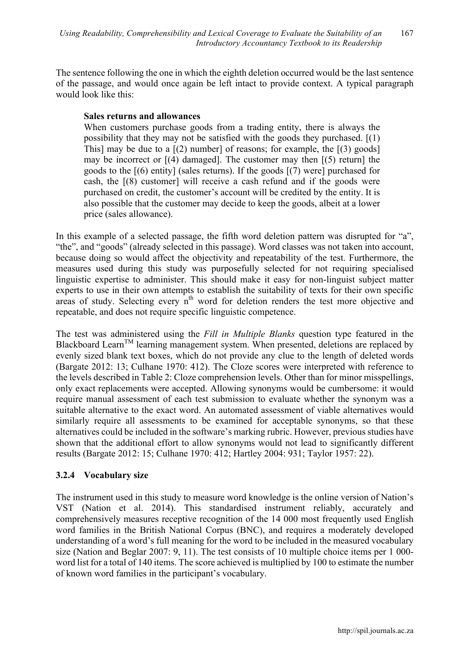The sentence following the one in which the eighth deletion occurred would be the last sentence of the passage, and would once again be left intact to provide context. A typical paragraph would look like this:

#### **Sales returns and allowances**

When customers purchase goods from a trading entity, there is always the possibility that they may not be satisfied with the goods they purchased. [(1) This] may be due to a  $[(2)$  number] of reasons; for example, the  $[(3)$  goods] may be incorrect or  $[(4)$  damaged]. The customer may then  $[(5)$  return] the goods to the [(6) entity] (sales returns). If the goods [(7) were] purchased for cash, the [(8) customer] will receive a cash refund and if the goods were purchased on credit, the customer's account will be credited by the entity. It is also possible that the customer may decide to keep the goods, albeit at a lower price (sales allowance).

In this example of a selected passage, the fifth word deletion pattern was disrupted for "a", "the", and "goods" (already selected in this passage). Word classes was not taken into account, because doing so would affect the objectivity and repeatability of the test. Furthermore, the measures used during this study was purposefully selected for not requiring specialised linguistic expertise to administer. This should make it easy for non-linguist subject matter experts to use in their own attempts to establish the suitability of texts for their own specific areas of study. Selecting every  $n^{th}$  word for deletion renders the test more objective and repeatable, and does not require specific linguistic competence.

The test was administered using the *Fill in Multiple Blanks* question type featured in the Blackboard Learn<sup>TM</sup> learning management system. When presented, deletions are replaced by evenly sized blank text boxes, which do not provide any clue to the length of deleted words (Bargate 2012: 13; Culhane 1970: 412). The Cloze scores were interpreted with reference to the levels described in Table 2: Cloze comprehension levels. Other than for minor misspellings, only exact replacements were accepted. Allowing synonyms would be cumbersome: it would require manual assessment of each test submission to evaluate whether the synonym was a suitable alternative to the exact word. An automated assessment of viable alternatives would similarly require all assessments to be examined for acceptable synonyms, so that these alternatives could be included in the software's marking rubric. However, previous studies have shown that the additional effort to allow synonyms would not lead to significantly different results (Bargate 2012: 15; Culhane 1970: 412; Hartley 2004: 931; Taylor 1957: 22).

## **3.2.4 Vocabulary size**

The instrument used in this study to measure word knowledge is the online version of Nation's VST (Nation et al. 2014). This standardised instrument reliably, accurately and comprehensively measures receptive recognition of the 14 000 most frequently used English word families in the British National Corpus (BNC), and requires a moderately developed understanding of a word's full meaning for the word to be included in the measured vocabulary size (Nation and Beglar 2007: 9, 11). The test consists of 10 multiple choice items per 1 000 word list for a total of 140 items. The score achieved is multiplied by 100 to estimate the number of known word families in the participant's vocabulary.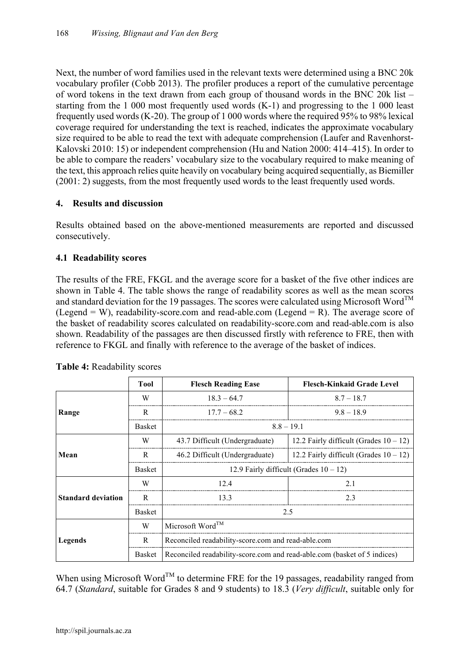Next, the number of word families used in the relevant texts were determined using a BNC 20k vocabulary profiler (Cobb 2013). The profiler produces a report of the cumulative percentage of word tokens in the text drawn from each group of thousand words in the BNC 20k list – starting from the 1 000 most frequently used words (K-1) and progressing to the 1 000 least frequently used words (K-20). The group of 1 000 words where the required 95% to 98% lexical coverage required for understanding the text is reached, indicates the approximate vocabulary size required to be able to read the text with adequate comprehension (Laufer and Ravenhorst-Kalovski 2010: 15) or independent comprehension (Hu and Nation 2000: 414–415). In order to be able to compare the readers' vocabulary size to the vocabulary required to make meaning of the text, this approach relies quite heavily on vocabulary being acquired sequentially, as Biemiller (2001: 2) suggests, from the most frequently used words to the least frequently used words.

## **4. Results and discussion**

Results obtained based on the above-mentioned measurements are reported and discussed consecutively.

# **4.1 Readability scores**

The results of the FRE, FKGL and the average score for a basket of the five other indices are shown in Table 4. The table shows the range of readability scores as well as the mean scores and standard deviation for the 19 passages. The scores were calculated using Microsoft Word<sup>TM</sup> (Legend = W), readability-score.com and read-able.com (Legend = R). The average score of the basket of readability scores calculated on readability-score.com and read-able.com is also shown. Readability of the passages are then discussed firstly with reference to FRE, then with reference to FKGL and finally with reference to the average of the basket of indices.

|                           | <b>Tool</b>   | <b>Flesch Reading Ease</b>                                               | <b>Flesch-Kinkaid Grade Level</b>         |  |  |  |  |  |
|---------------------------|---------------|--------------------------------------------------------------------------|-------------------------------------------|--|--|--|--|--|
|                           | W             | $18.3 - 64.7$                                                            | $8.7 - 18.7$                              |  |  |  |  |  |
| Range                     | R             | $17.7 - 68.2$                                                            | $9.8 - 18.9$                              |  |  |  |  |  |
|                           | <b>Basket</b> | $8.8 - 19.1$                                                             |                                           |  |  |  |  |  |
|                           | W             | 43.7 Difficult (Undergraduate)                                           | 12.2 Fairly difficult (Grades $10 - 12$ ) |  |  |  |  |  |
| Mean                      | R             | 46.2 Difficult (Undergraduate)                                           | 12.2 Fairly difficult (Grades $10 - 12$ ) |  |  |  |  |  |
|                           | <b>Basket</b> | 12.9 Fairly difficult (Grades $10 - 12$ )                                |                                           |  |  |  |  |  |
|                           | W             | 12.4                                                                     | 2.1                                       |  |  |  |  |  |
| <b>Standard deviation</b> | R             | 13.3                                                                     | 2.3                                       |  |  |  |  |  |
|                           | <b>Basket</b> | 2.5                                                                      |                                           |  |  |  |  |  |
|                           | W             | Microsoft Word <sup>TM</sup>                                             |                                           |  |  |  |  |  |
| Legends                   | R             | Reconciled readability-score.com and read-able.com                       |                                           |  |  |  |  |  |
|                           | <b>Basket</b> | Reconciled readability-score.com and read-able.com (basket of 5 indices) |                                           |  |  |  |  |  |

**Table 4:** Readability scores

When using Microsoft Word<sup>TM</sup> to determine FRE for the 19 passages, readability ranged from 64.7 (*Standard*, suitable for Grades 8 and 9 students) to 18.3 (*Very difficult*, suitable only for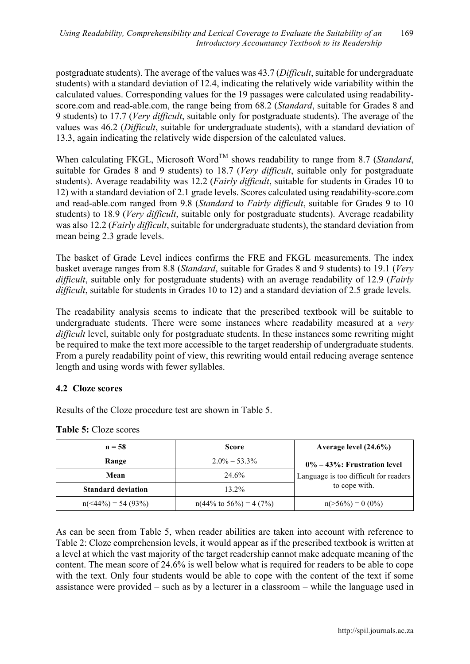postgraduate students). The average of the values was 43.7 (*Difficult*, suitable for undergraduate students) with a standard deviation of 12.4, indicating the relatively wide variability within the calculated values. Corresponding values for the 19 passages were calculated using readabilityscore.com and read-able.com, the range being from 68.2 (*Standard*, suitable for Grades 8 and 9 students) to 17.7 (*Very difficult*, suitable only for postgraduate students). The average of the values was 46.2 (*Difficult*, suitable for undergraduate students), with a standard deviation of 13.3, again indicating the relatively wide dispersion of the calculated values.

When calculating FKGL, Microsoft Word<sup>TM</sup> shows readability to range from 8.7 (*Standard*, suitable for Grades 8 and 9 students) to 18.7 (*Very difficult*, suitable only for postgraduate students). Average readability was 12.2 (*Fairly difficult*, suitable for students in Grades 10 to 12) with a standard deviation of 2.1 grade levels. Scores calculated using readability-score.com and read-able.com ranged from 9.8 (*Standard* to *Fairly difficult*, suitable for Grades 9 to 10 students) to 18.9 (*Very difficult*, suitable only for postgraduate students). Average readability was also 12.2 (*Fairly difficult*, suitable for undergraduate students), the standard deviation from mean being 2.3 grade levels.

The basket of Grade Level indices confirms the FRE and FKGL measurements. The index basket average ranges from 8.8 (*Standard*, suitable for Grades 8 and 9 students) to 19.1 (*Very difficult*, suitable only for postgraduate students) with an average readability of 12.9 (*Fairly difficult*, suitable for students in Grades 10 to 12) and a standard deviation of 2.5 grade levels.

The readability analysis seems to indicate that the prescribed textbook will be suitable to undergraduate students. There were some instances where readability measured at a *very difficult* level, suitable only for postgraduate students. In these instances some rewriting might be required to make the text more accessible to the target readership of undergraduate students. From a purely readability point of view, this rewriting would entail reducing average sentence length and using words with fewer syllables.

## **4.2 Cloze scores**

Results of the Cloze procedure test are shown in Table 5.

| $n = 58$                  | <b>Score</b>                        | Average level $(24.6\%)$              |  |  |  |
|---------------------------|-------------------------------------|---------------------------------------|--|--|--|
| Range                     | $2.0\% - 53.3\%$                    | $0\% - 43\%$ : Frustration level      |  |  |  |
| Mean                      | 24.6%                               | Language is too difficult for readers |  |  |  |
| <b>Standard deviation</b> | $13.2\%$                            | to cope with.                         |  |  |  |
| $n(44\%) = 54 (93%)$      | $n(44\% \text{ to } 56\%) = 4(7\%)$ | $n(>56\%) = 0$ (0%)                   |  |  |  |

**Table 5:** Cloze scores

As can be seen from Table 5, when reader abilities are taken into account with reference to Table 2: Cloze comprehension levels, it would appear as if the prescribed textbook is written at a level at which the vast majority of the target readership cannot make adequate meaning of the content. The mean score of 24.6% is well below what is required for readers to be able to cope with the text. Only four students would be able to cope with the content of the text if some assistance were provided – such as by a lecturer in a classroom – while the language used in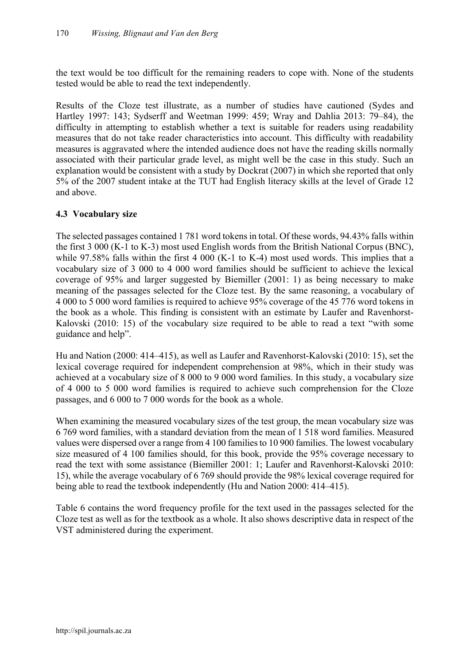the text would be too difficult for the remaining readers to cope with. None of the students tested would be able to read the text independently.

Results of the Cloze test illustrate, as a number of studies have cautioned (Sydes and Hartley 1997: 143; Sydserff and Weetman 1999: 459; Wray and Dahlia 2013: 79–84), the difficulty in attempting to establish whether a text is suitable for readers using readability measures that do not take reader characteristics into account. This difficulty with readability measures is aggravated where the intended audience does not have the reading skills normally associated with their particular grade level, as might well be the case in this study. Such an explanation would be consistent with a study by Dockrat (2007) in which she reported that only 5% of the 2007 student intake at the TUT had English literacy skills at the level of Grade 12 and above.

## **4.3 Vocabulary size**

The selected passages contained 1 781 word tokens in total. Of these words, 94.43% falls within the first 3 000 (K-1 to K-3) most used English words from the British National Corpus (BNC), while 97.58% falls within the first 4 000 (K-1 to K-4) most used words. This implies that a vocabulary size of 3 000 to 4 000 word families should be sufficient to achieve the lexical coverage of 95% and larger suggested by Biemiller (2001: 1) as being necessary to make meaning of the passages selected for the Cloze test. By the same reasoning, a vocabulary of 4 000 to 5 000 word families is required to achieve 95% coverage of the 45 776 word tokens in the book as a whole. This finding is consistent with an estimate by Laufer and Ravenhorst-Kalovski (2010: 15) of the vocabulary size required to be able to read a text "with some guidance and help".

Hu and Nation (2000: 414–415), as well as Laufer and Ravenhorst-Kalovski (2010: 15), set the lexical coverage required for independent comprehension at 98%, which in their study was achieved at a vocabulary size of 8 000 to 9 000 word families. In this study, a vocabulary size of 4 000 to 5 000 word families is required to achieve such comprehension for the Cloze passages, and 6 000 to 7 000 words for the book as a whole.

When examining the measured vocabulary sizes of the test group, the mean vocabulary size was 6 769 word families, with a standard deviation from the mean of 1 518 word families. Measured values were dispersed over a range from 4 100 families to 10 900 families. The lowest vocabulary size measured of 4 100 families should, for this book, provide the 95% coverage necessary to read the text with some assistance (Biemiller 2001: 1; Laufer and Ravenhorst-Kalovski 2010: 15), while the average vocabulary of 6 769 should provide the 98% lexical coverage required for being able to read the textbook independently (Hu and Nation 2000: 414–415).

Table 6 contains the word frequency profile for the text used in the passages selected for the Cloze test as well as for the textbook as a whole. It also shows descriptive data in respect of the VST administered during the experiment.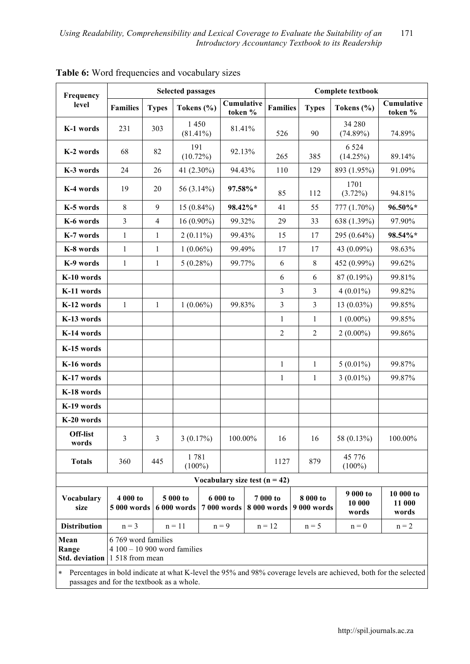| Frequency                                           |                                                                        | <b>Selected passages</b> |                     |                         |  | <b>Complete textbook</b> |                |                                           |                             |                              |                     |                                                                                                                  |                    |        |
|-----------------------------------------------------|------------------------------------------------------------------------|--------------------------|---------------------|-------------------------|--|--------------------------|----------------|-------------------------------------------|-----------------------------|------------------------------|---------------------|------------------------------------------------------------------------------------------------------------------|--------------------|--------|
| level                                               | <b>Families</b>                                                        | <b>Types</b>             |                     | Tokens (%)              |  | Cumulative<br>token %    |                | <b>Families</b>                           |                             | <b>Types</b>                 | Tokens $(\% )$      | Cumulative<br>token %                                                                                            |                    |        |
| K-1 words                                           | 231                                                                    | 303                      |                     | 1450<br>$(81.41\%)$     |  | 81.41%                   |                | 526                                       |                             | 90                           | 34 280<br>(74.89%)  | 74.89%                                                                                                           |                    |        |
| K-2 words                                           | 68                                                                     | 82                       |                     | 191<br>$(10.72\%)$      |  | 92.13%                   |                | 265                                       |                             | 385                          | 6 5 2 4<br>(14.25%) | 89.14%                                                                                                           |                    |        |
| K-3 words                                           | 24                                                                     | 26                       |                     | 41 (2.30%)              |  | 94.43%                   |                | 110                                       |                             | 129                          | 893 (1.95%)         | 91.09%                                                                                                           |                    |        |
| K-4 words                                           | 19                                                                     | 20                       |                     | 56 (3.14%)              |  |                          | 97.58%*        |                                           | 85                          |                              | 112                 |                                                                                                                  | 1701<br>$(3.72\%)$ | 94.81% |
| K-5 words                                           | 8                                                                      | 9                        |                     | $15(0.84\%)$            |  | 98.42%*                  |                | 41                                        |                             | 55                           | 777 (1.70%)         | 96.50%*                                                                                                          |                    |        |
| K-6 words                                           | $\overline{3}$                                                         | $\overline{4}$           |                     | $16(0.90\%)$            |  | 99.32%                   |                | 29                                        |                             | 33                           | 638 (1.39%)         | 97.90%                                                                                                           |                    |        |
| K-7 words                                           | $\mathbf{1}$                                                           | 1                        |                     | $2(0.11\%)$             |  | 99.43%                   |                | 15                                        |                             | 17                           | 295 (0.64%)         | 98.54%*                                                                                                          |                    |        |
| K-8 words                                           | $\mathbf{1}$                                                           | 1                        |                     | $1(0.06\%)$             |  | 99.49%                   |                | 17                                        |                             | 17                           | 43 (0.09%)          | 98.63%                                                                                                           |                    |        |
| K-9 words                                           | $\mathbf{1}$                                                           | 1                        |                     | $5(0.28\%)$             |  | 99.77%                   |                | 6                                         |                             | $\,8\,$                      | 452 (0.99%)         | 99.62%                                                                                                           |                    |        |
| K-10 words                                          |                                                                        |                          |                     |                         |  |                          |                | 6                                         |                             | 6                            | 87 (0.19%)          | 99.81%                                                                                                           |                    |        |
| K-11 words                                          |                                                                        |                          |                     |                         |  |                          |                | $\overline{3}$                            | 3                           |                              | $4(0.01\%)$         | 99.82%                                                                                                           |                    |        |
| K-12 words                                          | $\mathbf{1}$                                                           | 1                        |                     | $1(0.06\%)$             |  | 99.83%                   |                | $\overline{3}$                            |                             |                              | $13(0.03\%)$        | 99.85%                                                                                                           |                    |        |
| K-13 words                                          |                                                                        |                          |                     |                         |  |                          |                |                                           | 1                           |                              | $1(0.00\%)$         | 99.85%                                                                                                           |                    |        |
| K-14 words                                          |                                                                        |                          |                     |                         |  |                          | $\overline{2}$ |                                           | $\overline{2}$              |                              | $2(0.00\%)$         | 99.86%                                                                                                           |                    |        |
| K-15 words                                          |                                                                        |                          |                     |                         |  |                          |                |                                           |                             |                              |                     |                                                                                                                  |                    |        |
| K-16 words                                          |                                                                        |                          |                     |                         |  |                          |                | $\mathbf{1}$                              |                             | $\mathbf{1}$                 | $5(0.01\%)$         | 99.87%                                                                                                           |                    |        |
| K-17 words                                          |                                                                        |                          |                     |                         |  |                          |                | $\mathbf{1}$                              |                             | $\mathbf{1}$                 | $3(0.01\%)$         | 99.87%                                                                                                           |                    |        |
| K-18 words                                          |                                                                        |                          |                     |                         |  |                          |                |                                           |                             |                              |                     |                                                                                                                  |                    |        |
| K-19 words                                          |                                                                        |                          |                     |                         |  |                          |                |                                           |                             |                              |                     |                                                                                                                  |                    |        |
| K-20 words                                          |                                                                        |                          |                     |                         |  |                          |                |                                           |                             |                              |                     |                                                                                                                  |                    |        |
| Off-list<br>words                                   | 3                                                                      | 3                        |                     | 3(0.17%)                |  | 100.00%                  |                | 16                                        |                             | 16                           | 58 (0.13%)          | 100.00%                                                                                                          |                    |        |
| <b>Totals</b>                                       | 360                                                                    | 445                      |                     | 1781<br>$(100\%)$       |  |                          |                | 1127                                      |                             | 879                          | 45 776<br>$(100\%)$ |                                                                                                                  |                    |        |
|                                                     |                                                                        |                          |                     |                         |  |                          |                | Vocabulary size test $(n = 42)$           |                             |                              |                     |                                                                                                                  |                    |        |
| Vocabulary<br>size                                  | 5 000 to<br>4 000 to<br>5 000 words<br>6 000 words                     |                          |                     | 6 000 to<br>7 000 words |  | 7 000 to<br>8 000 words  |                | 8 000 to<br>9 000 words                   | 9 000 to<br>10 000<br>words | 10 000 to<br>11 000<br>words |                     |                                                                                                                  |                    |        |
| <b>Distribution</b>                                 | $n = 3$                                                                |                          | $n = 11$<br>$n = 9$ |                         |  |                          |                | $n = 12$<br>$n = 5$<br>$n = 2$<br>$n = 0$ |                             |                              |                     |                                                                                                                  |                    |        |
| Mean<br>Range<br><b>Std.</b> deviation              | 6 769 word families<br>$4100 - 10900$ word families<br>1 518 from mean |                          |                     |                         |  |                          |                |                                           |                             |                              |                     |                                                                                                                  |                    |        |
| $\ast$<br>passages and for the textbook as a whole. |                                                                        |                          |                     |                         |  |                          |                |                                           |                             |                              |                     | Percentages in bold indicate at what K-level the 95% and 98% coverage levels are achieved, both for the selected |                    |        |

Table 6: Word frequencies and vocabulary sizes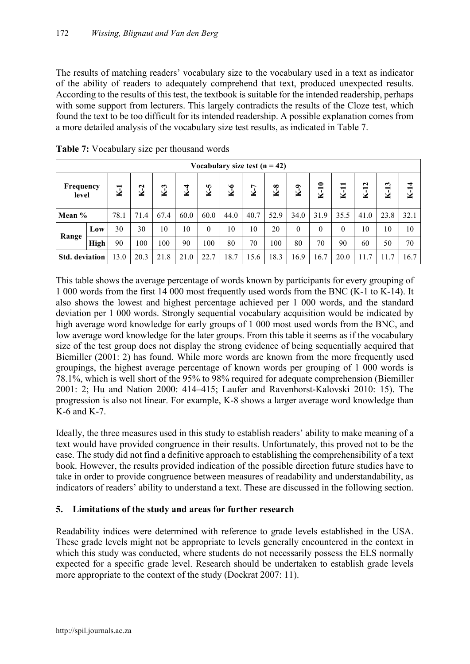The results of matching readers' vocabulary size to the vocabulary used in a text as indicator of the ability of readers to adequately comprehend that text, produced unexpected results. According to the results of this test, the textbook is suitable for the intended readership, perhaps with some support from lecturers. This largely contradicts the results of the Cloze test, which found the text to be too difficult for its intended readership. A possible explanation comes from a more detailed analysis of the vocabulary size test results, as indicated in Table 7.

| Vocabulary size test $(n = 42)$ |             |       |       |       |       |          |       |       |       |          |          |                                    |        |                |        |
|---------------------------------|-------------|-------|-------|-------|-------|----------|-------|-------|-------|----------|----------|------------------------------------|--------|----------------|--------|
| Frequency<br>level              |             | $K-1$ | $K-2$ | $K-3$ | $K-4$ | $K-5$    | $K-6$ | $K-7$ | $K-8$ | $K-9$    | $K-10$   | −<br>$\overline{\phantom{0}}$<br>× | $K-12$ | 13<br>$\bf{V}$ | $K-14$ |
| Mean %                          |             | 78.1  | 71.4  | 67.4  | 60.0  | 60.0     | 44.0  | 40.7  | 52.9  | 34.0     | 31.9     | 35.5                               | 41.0   | 23.8           | 32.1   |
|                                 | Low         | 30    | 30    | 10    | 10    | $\theta$ | 10    | 10    | 20    | $\theta$ | $\theta$ | $\theta$                           | 10     | 10             | 10     |
| Range                           | <b>High</b> | 90    | 100   | 100   | 90    | 100      | 80    | 70    | 100   | 80       | 70       | 90                                 | 60     | 50             | 70     |
| <b>Std.</b> deviation           |             | 13.0  | 20.3  | 21.8  | 21.0  | 22.7     | 18.7  | 15.6  | 18.3  | 16.9     | 16.7     | 20.0                               | 11.7   | 7<br>11.       | 16.7   |

**Table 7:** Vocabulary size per thousand words

This table shows the average percentage of words known by participants for every grouping of 1 000 words from the first 14 000 most frequently used words from the BNC (K-1 to K-14). It also shows the lowest and highest percentage achieved per 1 000 words, and the standard deviation per 1 000 words. Strongly sequential vocabulary acquisition would be indicated by high average word knowledge for early groups of 1 000 most used words from the BNC, and low average word knowledge for the later groups. From this table it seems as if the vocabulary size of the test group does not display the strong evidence of being sequentially acquired that Biemiller (2001: 2) has found. While more words are known from the more frequently used groupings, the highest average percentage of known words per grouping of 1 000 words is 78.1%, which is well short of the 95% to 98% required for adequate comprehension (Biemiller 2001: 2; Hu and Nation 2000: 414–415; Laufer and Ravenhorst-Kalovski 2010: 15). The progression is also not linear. For example, K-8 shows a larger average word knowledge than K-6 and K-7.

Ideally, the three measures used in this study to establish readers' ability to make meaning of a text would have provided congruence in their results. Unfortunately, this proved not to be the case. The study did not find a definitive approach to establishing the comprehensibility of a text book. However, the results provided indication of the possible direction future studies have to take in order to provide congruence between measures of readability and understandability, as indicators of readers' ability to understand a text. These are discussed in the following section.

## **5. Limitations of the study and areas for further research**

Readability indices were determined with reference to grade levels established in the USA. These grade levels might not be appropriate to levels generally encountered in the context in which this study was conducted, where students do not necessarily possess the ELS normally expected for a specific grade level. Research should be undertaken to establish grade levels more appropriate to the context of the study (Dockrat 2007: 11).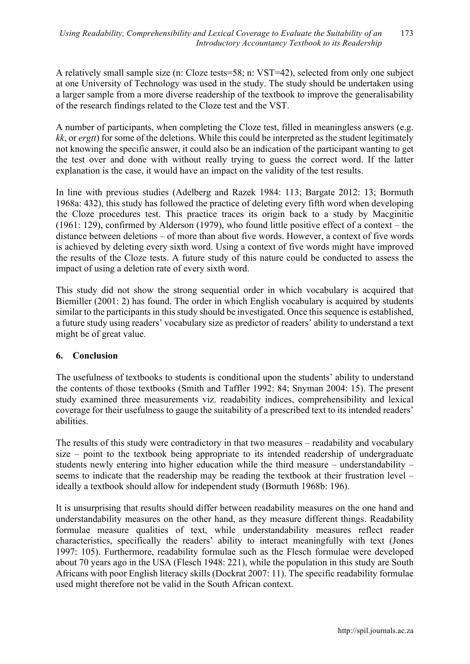A relatively small sample size (n: Cloze tests=58; n: VST=42), selected from only one subject at one University of Technology was used in the study. The study should be undertaken using a larger sample from a more diverse readership of the textbook to improve the generalisability of the research findings related to the Cloze test and the VST.

A number of participants, when completing the Cloze test, filled in meaningless answers (e.g. *kk*, or *ergtt*) for some of the deletions. While this could be interpreted as the student legitimately not knowing the specific answer, it could also be an indication of the participant wanting to get the test over and done with without really trying to guess the correct word. If the latter explanation is the case, it would have an impact on the validity of the test results.

In line with previous studies (Adelberg and Razek 1984: 113; Bargate 2012: 13; Bormuth 1968a: 432), this study has followed the practice of deleting every fifth word when developing the Cloze procedures test. This practice traces its origin back to a study by Macginitie (1961: 129), confirmed by Alderson (1979), who found little positive effect of a context – the distance between deletions – of more than about five words. However, a context of five words is achieved by deleting every sixth word. Using a context of five words might have improved the results of the Cloze tests. A future study of this nature could be conducted to assess the impact of using a deletion rate of every sixth word.

This study did not show the strong sequential order in which vocabulary is acquired that Biemiller (2001: 2) has found. The order in which English vocabulary is acquired by students similar to the participants in this study should be investigated. Once this sequence is established, a future study using readers' vocabulary size as predictor of readers' ability to understand a text might be of great value.

## **6. Conclusion**

The usefulness of textbooks to students is conditional upon the students' ability to understand the contents of those textbooks (Smith and Taffler 1992: 84; Snyman 2004: 15). The present study examined three measurements viz. readability indices, comprehensibility and lexical coverage for their usefulness to gauge the suitability of a prescribed text to its intended readers' abilities.

The results of this study were contradictory in that two measures – readability and vocabulary size – point to the textbook being appropriate to its intended readership of undergraduate students newly entering into higher education while the third measure – understandability – seems to indicate that the readership may be reading the textbook at their frustration level – ideally a textbook should allow for independent study (Bormuth 1968b: 196).

It is unsurprising that results should differ between readability measures on the one hand and understandability measures on the other hand, as they measure different things. Readability formulae measure qualities of text, while understandability measures reflect reader characteristics, specifically the readers' ability to interact meaningfully with text (Jones 1997: 105). Furthermore, readability formulae such as the Flesch formulae were developed about 70 years ago in the USA (Flesch 1948: 221), while the population in this study are South Africans with poor English literacy skills (Dockrat 2007: 11). The specific readability formulae used might therefore not be valid in the South African context.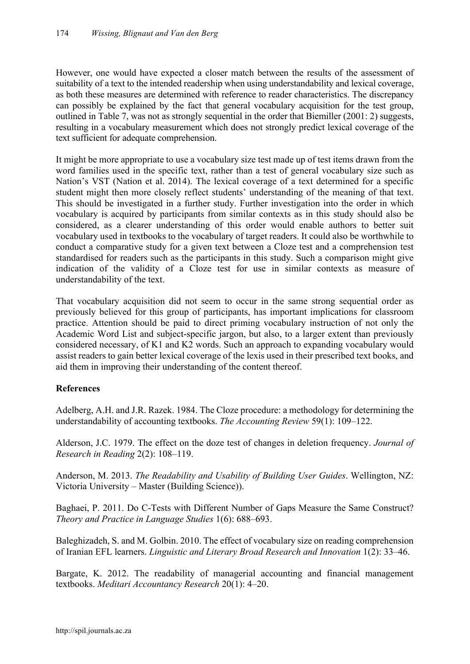However, one would have expected a closer match between the results of the assessment of suitability of a text to the intended readership when using understandability and lexical coverage, as both these measures are determined with reference to reader characteristics. The discrepancy can possibly be explained by the fact that general vocabulary acquisition for the test group, outlined in Table 7, was not as strongly sequential in the order that Biemiller (2001: 2) suggests, resulting in a vocabulary measurement which does not strongly predict lexical coverage of the text sufficient for adequate comprehension.

It might be more appropriate to use a vocabulary size test made up of test items drawn from the word families used in the specific text, rather than a test of general vocabulary size such as Nation's VST (Nation et al. 2014). The lexical coverage of a text determined for a specific student might then more closely reflect students' understanding of the meaning of that text. This should be investigated in a further study. Further investigation into the order in which vocabulary is acquired by participants from similar contexts as in this study should also be considered, as a clearer understanding of this order would enable authors to better suit vocabulary used in textbooks to the vocabulary of target readers. It could also be worthwhile to conduct a comparative study for a given text between a Cloze test and a comprehension test standardised for readers such as the participants in this study. Such a comparison might give indication of the validity of a Cloze test for use in similar contexts as measure of understandability of the text.

That vocabulary acquisition did not seem to occur in the same strong sequential order as previously believed for this group of participants, has important implications for classroom practice. Attention should be paid to direct priming vocabulary instruction of not only the Academic Word List and subject-specific jargon, but also, to a larger extent than previously considered necessary, of K1 and K2 words. Such an approach to expanding vocabulary would assist readers to gain better lexical coverage of the lexis used in their prescribed text books, and aid them in improving their understanding of the content thereof.

## **References**

Adelberg, A.H. and J.R. Razek. 1984. The Cloze procedure: a methodology for determining the understandability of accounting textbooks. *The Accounting Review* 59(1): 109–122.

Alderson, J.C. 1979. The effect on the doze test of changes in deletion frequency. *Journal of Research in Reading* 2(2): 108–119.

Anderson, M. 2013. *The Readability and Usability of Building User Guides*. Wellington, NZ: Victoria University – Master (Building Science)).

Baghaei, P. 2011. Do C-Tests with Different Number of Gaps Measure the Same Construct? *Theory and Practice in Language Studies* 1(6): 688–693.

Baleghizadeh, S. and M. Golbin. 2010. The effect of vocabulary size on reading comprehension of Iranian EFL learners. *Linguistic and Literary Broad Research and Innovation* 1(2): 33–46.

Bargate, K. 2012. The readability of managerial accounting and financial management textbooks. *Meditari Accountancy Research* 20(1): 4–20.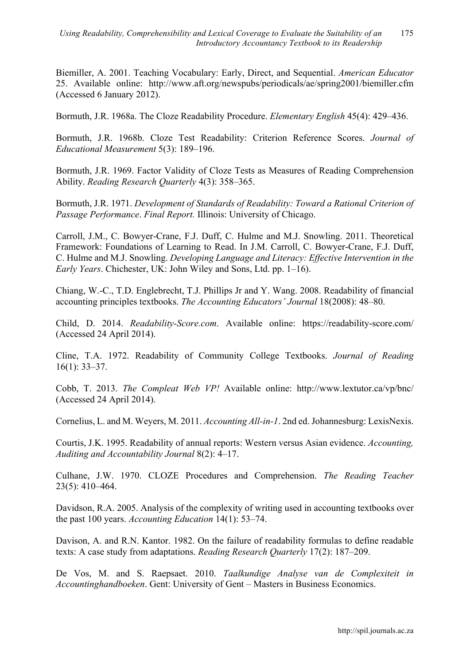Biemiller, A. 2001. Teaching Vocabulary: Early, Direct, and Sequential. *American Educator*  25. Available online: http://www.aft.org/newspubs/periodicals/ae/spring2001/biemiller.cfm (Accessed 6 January 2012).

Bormuth, J.R. 1968a. The Cloze Readability Procedure. *Elementary English* 45(4): 429–436.

Bormuth, J.R. 1968b. Cloze Test Readability: Criterion Reference Scores. *Journal of Educational Measurement* 5(3): 189–196.

Bormuth, J.R. 1969. Factor Validity of Cloze Tests as Measures of Reading Comprehension Ability. *Reading Research Quarterly* 4(3): 358–365.

Bormuth, J.R. 1971. *Development of Standards of Readability: Toward a Rational Criterion of Passage Performance*. *Final Report.* Illinois: University of Chicago.

Carroll, J.M., C. Bowyer-Crane, F.J. Duff, C. Hulme and M.J. Snowling. 2011. Theoretical Framework: Foundations of Learning to Read. In J.M. Carroll, C. Bowyer-Crane, F.J. Duff, C. Hulme and M.J. Snowling. *Developing Language and Literacy: Effective Intervention in the Early Years*. Chichester, UK: John Wiley and Sons, Ltd. pp. 1–16).

Chiang, W.-C., T.D. Englebrecht, T.J. Phillips Jr and Y. Wang. 2008. Readability of financial accounting principles textbooks. *The Accounting Educators' Journal* 18(2008): 48–80.

Child, D. 2014. *Readability-Score.com*. Available online: https://readability-score.com/ (Accessed 24 April 2014).

Cline, T.A. 1972. Readability of Community College Textbooks. *Journal of Reading* 16(1): 33–37.

Cobb, T. 2013. *The Compleat Web VP!* Available online: http://www.lextutor.ca/vp/bnc/ (Accessed 24 April 2014).

Cornelius, L. and M. Weyers, M. 2011. *Accounting All-in-1*. 2nd ed. Johannesburg: LexisNexis.

Courtis, J.K. 1995. Readability of annual reports: Western versus Asian evidence. *Accounting, Auditing and Accountability Journal* 8(2): 4–17.

Culhane, J.W. 1970. CLOZE Procedures and Comprehension. *The Reading Teacher* 23(5): 410–464.

Davidson, R.A. 2005. Analysis of the complexity of writing used in accounting textbooks over the past 100 years. *Accounting Education* 14(1): 53–74.

Davison, A. and R.N. Kantor. 1982. On the failure of readability formulas to define readable texts: A case study from adaptations. *Reading Research Quarterly* 17(2): 187–209.

De Vos, M. and S. Raepsaet. 2010. *Taalkundige Analyse van de Complexiteit in Accountinghandboeken*. Gent: University of Gent – Masters in Business Economics.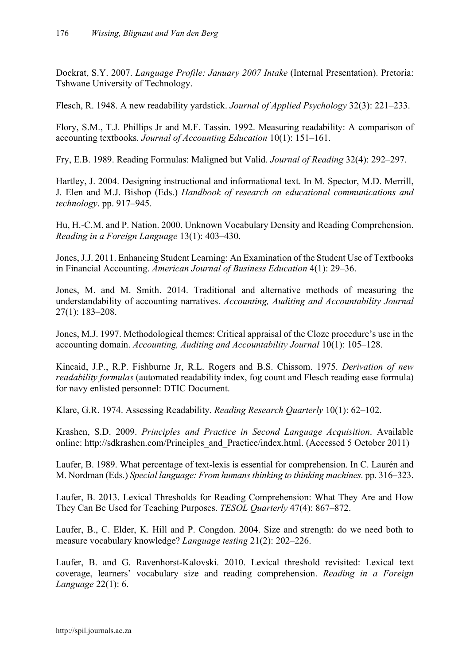Dockrat, S.Y. 2007. *Language Profile: January 2007 Intake* (Internal Presentation). Pretoria: Tshwane University of Technology.

Flesch, R. 1948. A new readability yardstick. *Journal of Applied Psychology* 32(3): 221–233.

Flory, S.M., T.J. Phillips Jr and M.F. Tassin. 1992. Measuring readability: A comparison of accounting textbooks. *Journal of Accounting Education* 10(1): 151–161.

Fry, E.B. 1989. Reading Formulas: Maligned but Valid. *Journal of Reading* 32(4): 292–297.

Hartley, J. 2004. Designing instructional and informational text. In M. Spector, M.D. Merrill, J. Elen and M.J. Bishop (Eds.) *Handbook of research on educational communications and technology*. pp. 917–945.

Hu, H.-C.M. and P. Nation. 2000. Unknown Vocabulary Density and Reading Comprehension. *Reading in a Foreign Language* 13(1): 403–430.

Jones, J.J. 2011. Enhancing Student Learning: An Examination of the Student Use of Textbooks in Financial Accounting. *American Journal of Business Education* 4(1): 29–36.

Jones, M. and M. Smith. 2014. Traditional and alternative methods of measuring the understandability of accounting narratives. *Accounting, Auditing and Accountability Journal* 27(1): 183–208.

Jones, M.J. 1997. Methodological themes: Critical appraisal of the Cloze procedure's use in the accounting domain. *Accounting, Auditing and Accountability Journal* 10(1): 105–128.

Kincaid, J.P., R.P. Fishburne Jr, R.L. Rogers and B.S. Chissom. 1975. *Derivation of new readability formulas* (automated readability index, fog count and Flesch reading ease formula) for navy enlisted personnel: DTIC Document.

Klare, G.R. 1974. Assessing Readability. *Reading Research Quarterly* 10(1): 62–102.

Krashen, S.D. 2009. *Principles and Practice in Second Language Acquisition*. Available online: http://sdkrashen.com/Principles\_and\_Practice/index.html. (Accessed 5 October 2011)

Laufer, B. 1989. What percentage of text-lexis is essential for comprehension. In C. Laurén and M. Nordman (Eds.) *Special language: From humans thinking to thinking machines.* pp. 316–323.

Laufer, B. 2013. Lexical Thresholds for Reading Comprehension: What They Are and How They Can Be Used for Teaching Purposes. *TESOL Quarterly* 47(4): 867–872.

Laufer, B., C. Elder, K. Hill and P. Congdon. 2004. Size and strength: do we need both to measure vocabulary knowledge? *Language testing* 21(2): 202–226.

Laufer, B. and G. Ravenhorst-Kalovski. 2010. Lexical threshold revisited: Lexical text coverage, learners' vocabulary size and reading comprehension. *Reading in a Foreign Language* 22(1): 6.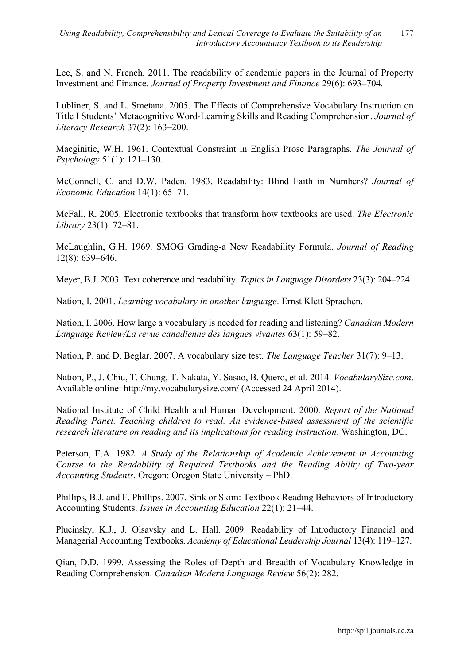Lee, S. and N. French. 2011. The readability of academic papers in the Journal of Property Investment and Finance. *Journal of Property Investment and Finance* 29(6): 693–704.

Lubliner, S. and L. Smetana. 2005. The Effects of Comprehensive Vocabulary Instruction on Title I Students' Metacognitive Word-Learning Skills and Reading Comprehension. *Journal of Literacy Research* 37(2): 163–200.

Macginitie, W.H. 1961. Contextual Constraint in English Prose Paragraphs. *The Journal of Psychology* 51(1): 121–130.

McConnell, C. and D.W. Paden. 1983. Readability: Blind Faith in Numbers? *Journal of Economic Education* 14(1): 65–71.

McFall, R. 2005. Electronic textbooks that transform how textbooks are used. *The Electronic Library* 23(1): 72–81.

McLaughlin, G.H. 1969. SMOG Grading-a New Readability Formula. *Journal of Reading* 12(8): 639–646.

Meyer, B.J. 2003. Text coherence and readability. *Topics in Language Disorders* 23(3): 204–224.

Nation, I. 2001. *Learning vocabulary in another language*. Ernst Klett Sprachen.

Nation, I. 2006. How large a vocabulary is needed for reading and listening? *Canadian Modern Language Review/La revue canadienne des langues vivantes* 63(1): 59–82.

Nation, P. and D. Beglar. 2007. A vocabulary size test. *The Language Teacher* 31(7): 9–13.

Nation, P., J. Chiu, T. Chung, T. Nakata, Y. Sasao, B. Quero, et al. 2014. *VocabularySize.com*. Available online: http://my.vocabularysize.com/ (Accessed 24 April 2014).

National Institute of Child Health and Human Development. 2000. *Report of the National Reading Panel. Teaching children to read: An evidence-based assessment of the scientific research literature on reading and its implications for reading instruction*. Washington, DC.

Peterson, E.A. 1982. *A Study of the Relationship of Academic Achievement in Accounting Course to the Readability of Required Textbooks and the Reading Ability of Two-year Accounting Students*. Oregon: Oregon State University – PhD.

Phillips, B.J. and F. Phillips. 2007. Sink or Skim: Textbook Reading Behaviors of Introductory Accounting Students. *Issues in Accounting Education* 22(1): 21–44.

Plucinsky, K.J., J. Olsavsky and L. Hall. 2009. Readability of Introductory Financial and Managerial Accounting Textbooks. *Academy of Educational Leadership Journal* 13(4): 119–127.

Qian, D.D. 1999. Assessing the Roles of Depth and Breadth of Vocabulary Knowledge in Reading Comprehension. *Canadian Modern Language Review* 56(2): 282.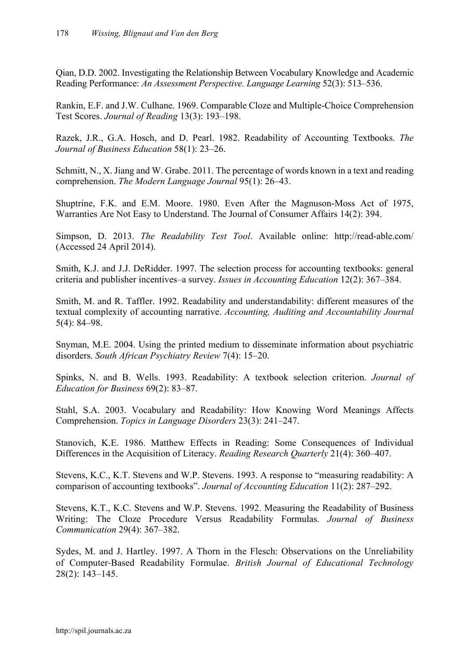Qian, D.D. 2002. Investigating the Relationship Between Vocabulary Knowledge and Academic Reading Performance: *An Assessment Perspective. Language Learning* 52(3): 513–536.

Rankin, E.F. and J.W. Culhane. 1969. Comparable Cloze and Multiple-Choice Comprehension Test Scores. *Journal of Reading* 13(3): 193–198.

Razek, J.R., G.A. Hosch, and D. Pearl. 1982. Readability of Accounting Textbooks. *The Journal of Business Education* 58(1): 23–26.

Schmitt, N., X. Jiang and W. Grabe. 2011. The percentage of words known in a text and reading comprehension. *The Modern Language Journal* 95(1): 26–43.

Shuptrine, F.K. and E.M. Moore. 1980. Even After the Magnuson-Moss Act of 1975, Warranties Are Not Easy to Understand. The Journal of Consumer Affairs 14(2): 394.

Simpson, D. 2013. *The Readability Test Tool*. Available online: http://read-able.com/ (Accessed 24 April 2014).

Smith, K.J. and J.J. DeRidder. 1997. The selection process for accounting textbooks: general criteria and publisher incentives–a survey. *Issues in Accounting Education* 12(2): 367–384.

Smith, M. and R. Taffler. 1992. Readability and understandability: different measures of the textual complexity of accounting narrative. *Accounting, Auditing and Accountability Journal*  5(4): 84–98.

Snyman, M.E. 2004. Using the printed medium to disseminate information about psychiatric disorders. *South African Psychiatry Review* 7(4): 15–20.

Spinks, N. and B. Wells. 1993. Readability: A textbook selection criterion. *Journal of Education for Business* 69(2): 83–87.

Stahl, S.A. 2003. Vocabulary and Readability: How Knowing Word Meanings Affects Comprehension. *Topics in Language Disorders* 23(3): 241–247.

Stanovich, K.E. 1986. Matthew Effects in Reading: Some Consequences of Individual Differences in the Acquisition of Literacy. *Reading Research Quarterly* 21(4): 360–407.

Stevens, K.C., K.T. Stevens and W.P. Stevens. 1993. A response to "measuring readability: A comparison of accounting textbooks". *Journal of Accounting Education* 11(2): 287–292.

Stevens, K.T., K.C. Stevens and W.P. Stevens. 1992. Measuring the Readability of Business Writing: The Cloze Procedure Versus Readability Formulas. *Journal of Business Communication* 29(4): 367–382.

Sydes, M. and J. Hartley. 1997. A Thorn in the Flesch: Observations on the Unreliability of Computer-Based Readability Formulae. *British Journal of Educational Technology* 28(2): 143–145.